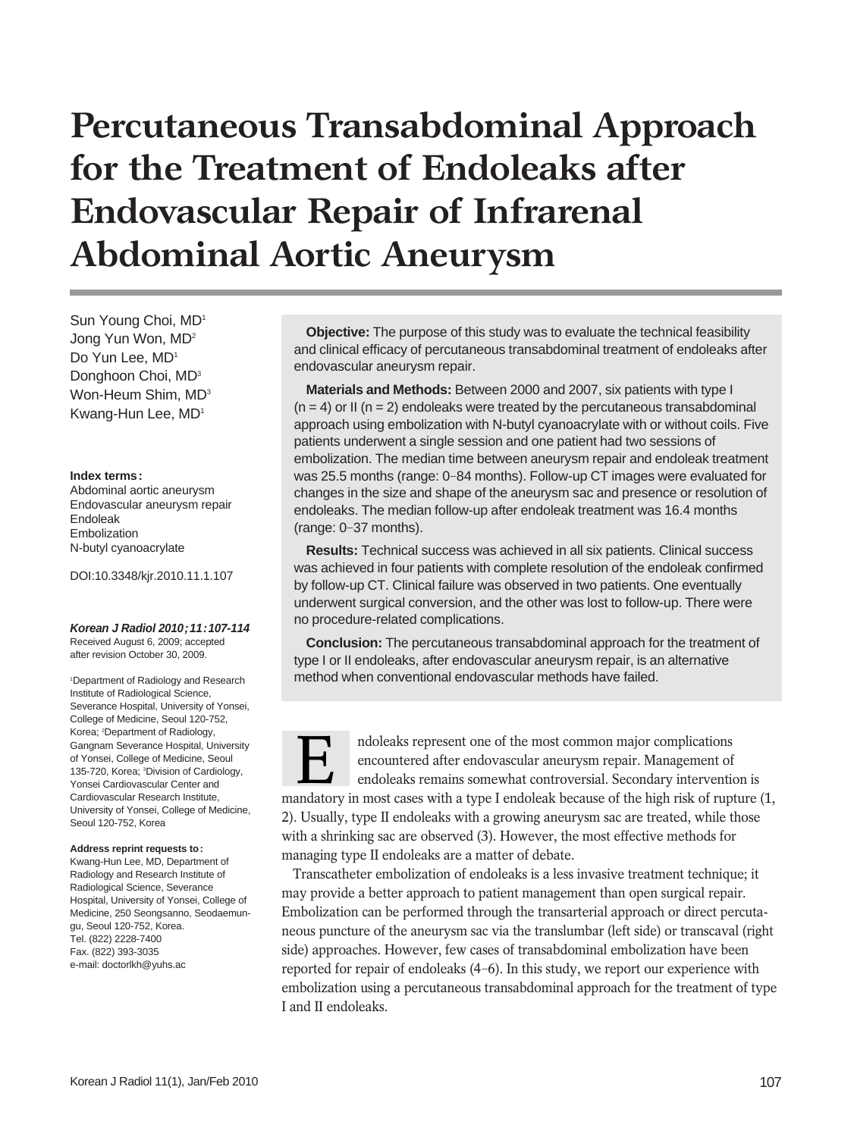# **Percutaneous Transabdominal Approach for the Treatment of Endoleaks after Endovascular Repair of Infrarenal Abdominal Aortic Aneurysm**

Sun Young Choi, MD1 Jong Yun Won, MD2 Do Yun Lee, MD<sup>1</sup> Donghoon Choi, MD<sup>3</sup> Won-Heum Shim, MD<sup>3</sup> Kwang-Hun Lee, MD<sup>1</sup>

#### **Index terms:**

Abdominal aortic aneurysm Endovascular aneurysm repair Endoleak Embolization N-butyl cyanoacrylate

DOI:10.3348/kjr.2010.11.1.107

#### **Korean J Radiol 2010;11:107-114** Received August 6, 2009; accepted after revision October 30, 2009.

1 Department of Radiology and Research Institute of Radiological Science, Severance Hospital, University of Yonsei, College of Medicine, Seoul 120-752, Korea; <sup>2</sup>Department of Radiology, Gangnam Severance Hospital, University of Yonsei, College of Medicine, Seoul 135-720, Korea; <sup>3</sup>Division of Cardiology, Yonsei Cardiovascular Center and Cardiovascular Research Institute, University of Yonsei, College of Medicine, Seoul 120-752, Korea

#### **Address reprint requests to:**

Kwang-Hun Lee, MD, Department of Radiology and Research Institute of Radiological Science, Severance Hospital, University of Yonsei, College of Medicine, 250 Seongsanno, Seodaemungu, Seoul 120-752, Korea. Tel. (822) 2228-7400 Fax. (822) 393-3035 e-mail: doctorlkh@yuhs.ac

**Objective:** The purpose of this study was to evaluate the technical feasibility and clinical efficacy of percutaneous transabdominal treatment of endoleaks after endovascular aneurysm repair.

**Materials and Methods:** Between 2000 and 2007, six patients with type I  $(n = 4)$  or II  $(n = 2)$  endoleaks were treated by the percutaneous transabdominal approach using embolization with N-butyl cyanoacrylate with or without coils. Five patients underwent a single session and one patient had two sessions of embolization. The median time between aneurysm repair and endoleak treatment was 25.5 months (range: 0-84 months). Follow-up CT images were evaluated for changes in the size and shape of the aneurysm sac and presence or resolution of endoleaks. The median follow-up after endoleak treatment was 16.4 months (range: 0-37 months).

**Results:** Technical success was achieved in all six patients. Clinical success was achieved in four patients with complete resolution of the endoleak confirmed by follow-up CT. Clinical failure was observed in two patients. One eventually underwent surgical conversion, and the other was lost to follow-up. There were no procedure-related complications.

**Conclusion:** The percutaneous transabdominal approach for the treatment of type I or II endoleaks, after endovascular aneurysm repair, is an alternative method when conventional endovascular methods have failed.



Transcatheter embolization of endoleaks is a less invasive treatment technique; it may provide a better approach to patient management than open surgical repair. Embolization can be performed through the transarterial approach or direct percutaneous puncture of the aneurysm sac via the translumbar (left side) or transcaval (right side) approaches. However, few cases of transabdominal embolization have been reported for repair of endoleaks (4-6). In this study, we report our experience with embolization using a percutaneous transabdominal approach for the treatment of type I and II endoleaks.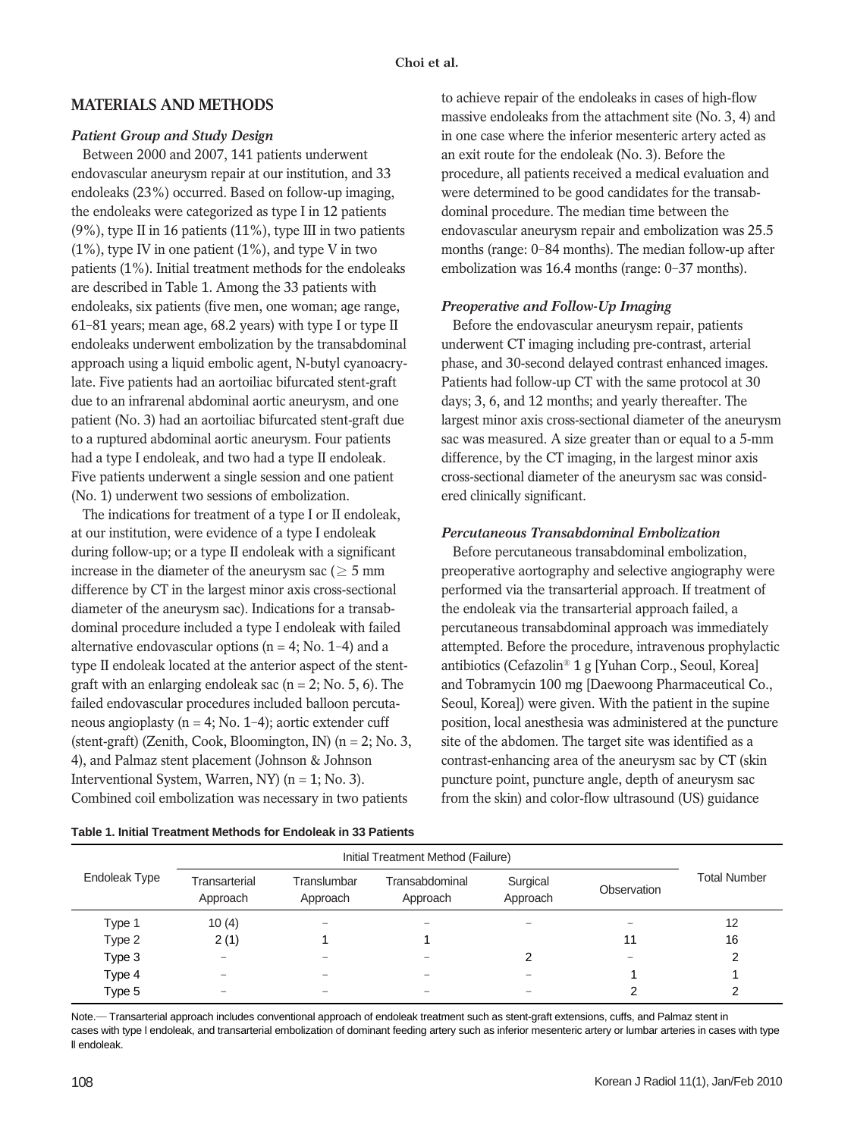## **MATERIALS AND METHODS**

#### *Patient Group and Study Design*

Between 2000 and 2007, 141 patients underwent endovascular aneurysm repair at our institution, and 33 endoleaks (23%) occurred. Based on follow-up imaging, the endoleaks were categorized as type I in 12 patients (9%), type II in 16 patients (11%), type III in two patients (1%), type IV in one patient (1%), and type V in two patients (1%). Initial treatment methods for the endoleaks are described in Table 1. Among the 33 patients with endoleaks, six patients (five men, one woman; age range, 61-81 years; mean age, 68.2 years) with type I or type II endoleaks underwent embolization by the transabdominal approach using a liquid embolic agent, N-butyl cyanoacrylate. Five patients had an aortoiliac bifurcated stent-graft due to an infrarenal abdominal aortic aneurysm, and one patient (No. 3) had an aortoiliac bifurcated stent-graft due to a ruptured abdominal aortic aneurysm. Four patients had a type I endoleak, and two had a type II endoleak. Five patients underwent a single session and one patient (No. 1) underwent two sessions of embolization.

The indications for treatment of a type I or II endoleak, at our institution, were evidence of a type I endoleak during follow-up; or a type II endoleak with a significant increase in the diameter of the aneurysm sac ( $\geq$  5 mm difference by CT in the largest minor axis cross-sectional diameter of the aneurysm sac). Indications for a transabdominal procedure included a type I endoleak with failed alternative endovascular options ( $n = 4$ ; No. 1–4) and a type II endoleak located at the anterior aspect of the stentgraft with an enlarging endoleak sac  $(n = 2; No. 5, 6)$ . The failed endovascular procedures included balloon percutaneous angioplasty ( $n = 4$ ; No. 1–4); aortic extender cuff (stent-graft) (Zenith, Cook, Bloomington, IN) ( $n = 2$ ; No. 3, 4), and Palmaz stent placement (Johnson & Johnson Interventional System, Warren, NY) (n = 1; No. 3). Combined coil embolization was necessary in two patients

to achieve repair of the endoleaks in cases of high-flow massive endoleaks from the attachment site (No. 3, 4) and in one case where the inferior mesenteric artery acted as an exit route for the endoleak (No. 3). Before the procedure, all patients received a medical evaluation and were determined to be good candidates for the transabdominal procedure. The median time between the endovascular aneurysm repair and embolization was 25.5 months (range: 0-84 months). The median follow-up after embolization was 16.4 months (range: 0-37 months).

## *Preoperative and Follow-Up Imaging*

Before the endovascular aneurysm repair, patients underwent CT imaging including pre-contrast, arterial phase, and 30-second delayed contrast enhanced images. Patients had follow-up CT with the same protocol at 30 days; 3, 6, and 12 months; and yearly thereafter. The largest minor axis cross-sectional diameter of the aneurysm sac was measured. A size greater than or equal to a 5-mm difference, by the CT imaging, in the largest minor axis cross-sectional diameter of the aneurysm sac was considered clinically significant.

## *Percutaneous Transabdominal Embolization*

Before percutaneous transabdominal embolization, preoperative aortography and selective angiography were performed via the transarterial approach. If treatment of the endoleak via the transarterial approach failed, a percutaneous transabdominal approach was immediately attempted. Before the procedure, intravenous prophylactic antibiotics (Cefazolin<sup>®</sup> 1 g [Yuhan Corp., Seoul, Korea] and Tobramycin 100 mg [Daewoong Pharmaceutical Co., Seoul, Korea]) were given. With the patient in the supine position, local anesthesia was administered at the puncture site of the abdomen. The target site was identified as a contrast-enhancing area of the aneurysm sac by CT (skin puncture point, puncture angle, depth of aneurysm sac from the skin) and color-flow ultrasound (US) guidance

| Table 1. Initial Treatment Methods for Endoleak in 33 Patients |  |
|----------------------------------------------------------------|--|
|----------------------------------------------------------------|--|

|               | Initial Treatment Method (Failure) |                         |                            |                      |             |                     |
|---------------|------------------------------------|-------------------------|----------------------------|----------------------|-------------|---------------------|
| Endoleak Type | Transarterial<br>Approach          | Translumbar<br>Approach | Transabdominal<br>Approach | Surgical<br>Approach | Observation | <b>Total Number</b> |
| Type 1        | 10(4)                              |                         | $\overline{\phantom{a}}$   |                      |             | 12                  |
| Type 2        | 2(1)                               |                         |                            |                      | 11          | 16                  |
| Type 3        |                                    |                         |                            | າ                    |             | 2                   |
| Type 4        |                                    |                         |                            |                      |             |                     |
| Type 5        |                                    |                         |                            |                      |             |                     |

Note.— Transarterial approach includes conventional approach of endoleak treatment such as stent-graft extensions, cuffs, and Palmaz stent in cases with type l endoleak, and transarterial embolization of dominant feeding artery such as inferior mesenteric artery or lumbar arteries in cases with type ll endoleak.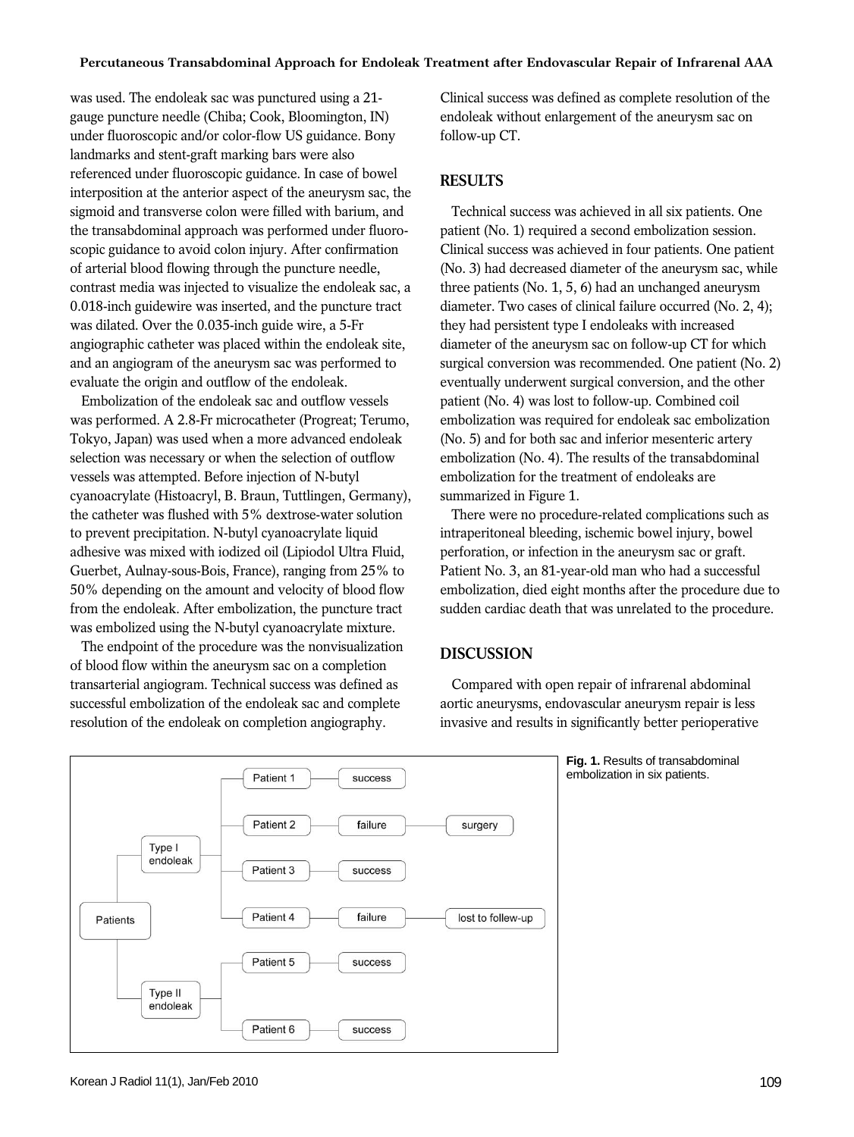was used. The endoleak sac was punctured using a 21 gauge puncture needle (Chiba; Cook, Bloomington, IN) under fluoroscopic and/or color-flow US guidance. Bony landmarks and stent-graft marking bars were also referenced under fluoroscopic guidance. In case of bowel interposition at the anterior aspect of the aneurysm sac, the sigmoid and transverse colon were filled with barium, and the transabdominal approach was performed under fluoroscopic guidance to avoid colon injury. After confirmation of arterial blood flowing through the puncture needle, contrast media was injected to visualize the endoleak sac, a 0.018-inch guidewire was inserted, and the puncture tract was dilated. Over the 0.035-inch guide wire, a 5-Fr angiographic catheter was placed within the endoleak site, and an angiogram of the aneurysm sac was performed to evaluate the origin and outflow of the endoleak.

Embolization of the endoleak sac and outflow vessels was performed. A 2.8-Fr microcatheter (Progreat; Terumo, Tokyo, Japan) was used when a more advanced endoleak selection was necessary or when the selection of outflow vessels was attempted. Before injection of N-butyl cyanoacrylate (Histoacryl, B. Braun, Tuttlingen, Germany), the catheter was flushed with 5% dextrose-water solution to prevent precipitation. N-butyl cyanoacrylate liquid adhesive was mixed with iodized oil (Lipiodol Ultra Fluid, Guerbet, Aulnay-sous-Bois, France), ranging from 25% to 50% depending on the amount and velocity of blood flow from the endoleak. After embolization, the puncture tract was embolized using the N-butyl cyanoacrylate mixture.

The endpoint of the procedure was the nonvisualization of blood flow within the aneurysm sac on a completion transarterial angiogram. Technical success was defined as successful embolization of the endoleak sac and complete resolution of the endoleak on completion angiography.

Clinical success was defined as complete resolution of the endoleak without enlargement of the aneurysm sac on follow-up CT.

## **RESULTS**

Technical success was achieved in all six patients. One patient (No. 1) required a second embolization session. Clinical success was achieved in four patients. One patient (No. 3) had decreased diameter of the aneurysm sac, while three patients (No. 1, 5, 6) had an unchanged aneurysm diameter. Two cases of clinical failure occurred (No. 2, 4); they had persistent type I endoleaks with increased diameter of the aneurysm sac on follow-up CT for which surgical conversion was recommended. One patient (No. 2) eventually underwent surgical conversion, and the other patient (No. 4) was lost to follow-up. Combined coil embolization was required for endoleak sac embolization (No. 5) and for both sac and inferior mesenteric artery embolization (No. 4). The results of the transabdominal embolization for the treatment of endoleaks are summarized in Figure 1.

There were no procedure-related complications such as intraperitoneal bleeding, ischemic bowel injury, bowel perforation, or infection in the aneurysm sac or graft. Patient No. 3, an 81-year-old man who had a successful embolization, died eight months after the procedure due to sudden cardiac death that was unrelated to the procedure.

#### **DISCUSSION**

Compared with open repair of infrarenal abdominal aortic aneurysms, endovascular aneurysm repair is less invasive and results in significantly better perioperative



**Fig. 1.** Results of transabdominal embolization in six patients.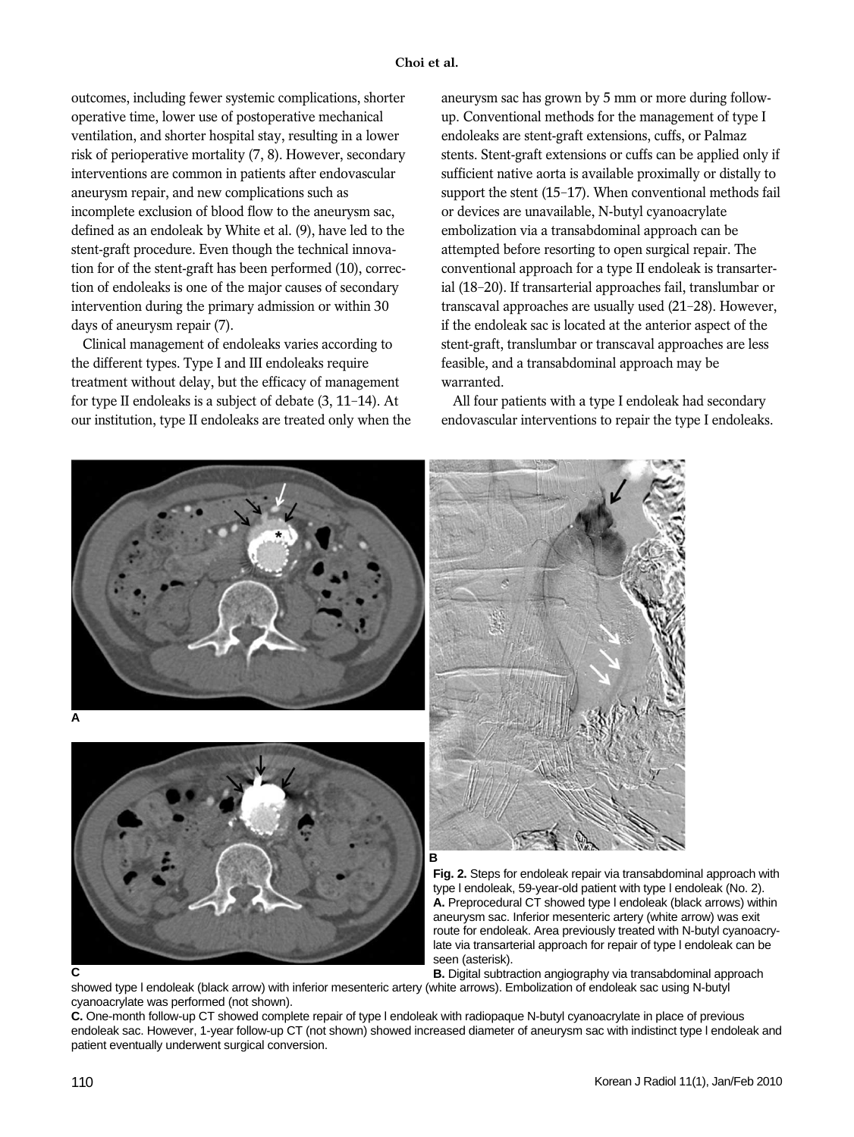outcomes, including fewer systemic complications, shorter operative time, lower use of postoperative mechanical ventilation, and shorter hospital stay, resulting in a lower risk of perioperative mortality (7, 8). However, secondary interventions are common in patients after endovascular aneurysm repair, and new complications such as incomplete exclusion of blood flow to the aneurysm sac, defined as an endoleak by White et al. (9), have led to the stent-graft procedure. Even though the technical innovation for of the stent-graft has been performed (10), correction of endoleaks is one of the major causes of secondary intervention during the primary admission or within 30 days of aneurysm repair (7).

Clinical management of endoleaks varies according to the different types. Type I and III endoleaks require treatment without delay, but the efficacy of management for type II endoleaks is a subject of debate (3, 11-14). At our institution, type II endoleaks are treated only when the aneurysm sac has grown by 5 mm or more during followup. Conventional methods for the management of type I endoleaks are stent-graft extensions, cuffs, or Palmaz stents. Stent-graft extensions or cuffs can be applied only if sufficient native aorta is available proximally or distally to support the stent (15-17). When conventional methods fail or devices are unavailable, N-butyl cyanoacrylate embolization via a transabdominal approach can be attempted before resorting to open surgical repair. The conventional approach for a type II endoleak is transarterial (18-20). If transarterial approaches fail, translumbar or transcaval approaches are usually used (21-28). However, if the endoleak sac is located at the anterior aspect of the stent-graft, translumbar or transcaval approaches are less feasible, and a transabdominal approach may be warranted.

All four patients with a type I endoleak had secondary endovascular interventions to repair the type I endoleaks.



showed type l endoleak (black arrow) with inferior mesenteric artery (white arrows). Embolization of endoleak sac using N-butyl cyanoacrylate was performed (not shown).

**C.** One-month follow-up CT showed complete repair of type l endoleak with radiopaque N-butyl cyanoacrylate in place of previous endoleak sac. However, 1-year follow-up CT (not shown) showed increased diameter of aneurysm sac with indistinct type l endoleak and patient eventually underwent surgical conversion.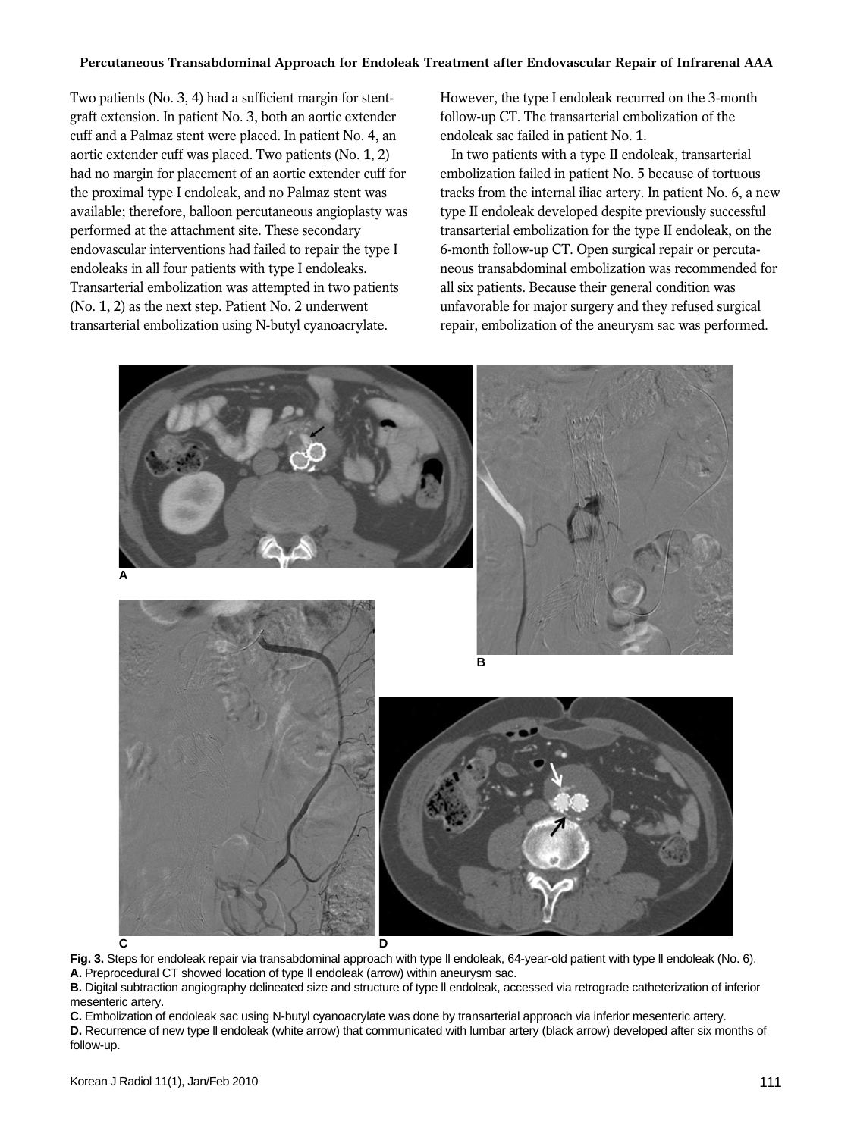Two patients (No. 3, 4) had a sufficient margin for stentgraft extension. In patient No. 3, both an aortic extender cuff and a Palmaz stent were placed. In patient No. 4, an aortic extender cuff was placed. Two patients (No. 1, 2) had no margin for placement of an aortic extender cuff for the proximal type I endoleak, and no Palmaz stent was available; therefore, balloon percutaneous angioplasty was performed at the attachment site. These secondary endovascular interventions had failed to repair the type I endoleaks in all four patients with type I endoleaks. Transarterial embolization was attempted in two patients (No. 1, 2) as the next step. Patient No. 2 underwent transarterial embolization using N-butyl cyanoacrylate.

However, the type I endoleak recurred on the 3-month follow-up CT. The transarterial embolization of the endoleak sac failed in patient No. 1.

In two patients with a type II endoleak, transarterial embolization failed in patient No. 5 because of tortuous tracks from the internal iliac artery. In patient No. 6, a new type II endoleak developed despite previously successful transarterial embolization for the type II endoleak, on the 6-month follow-up CT. Open surgical repair or percutaneous transabdominal embolization was recommended for all six patients. Because their general condition was unfavorable for major surgery and they refused surgical repair, embolization of the aneurysm sac was performed.



**Fig. 3.** Steps for endoleak repair via transabdominal approach with type ll endoleak, 64-year-old patient with type ll endoleak (No. 6). **A.** Preprocedural CT showed location of type ll endoleak (arrow) within aneurysm sac.

**B.** Digital subtraction angiography delineated size and structure of type ll endoleak, accessed via retrograde catheterization of inferior mesenteric artery.

**C.** Embolization of endoleak sac using N-butyl cyanoacrylate was done by transarterial approach via inferior mesenteric artery. **D.** Recurrence of new type ll endoleak (white arrow) that communicated with lumbar artery (black arrow) developed after six months of follow-up.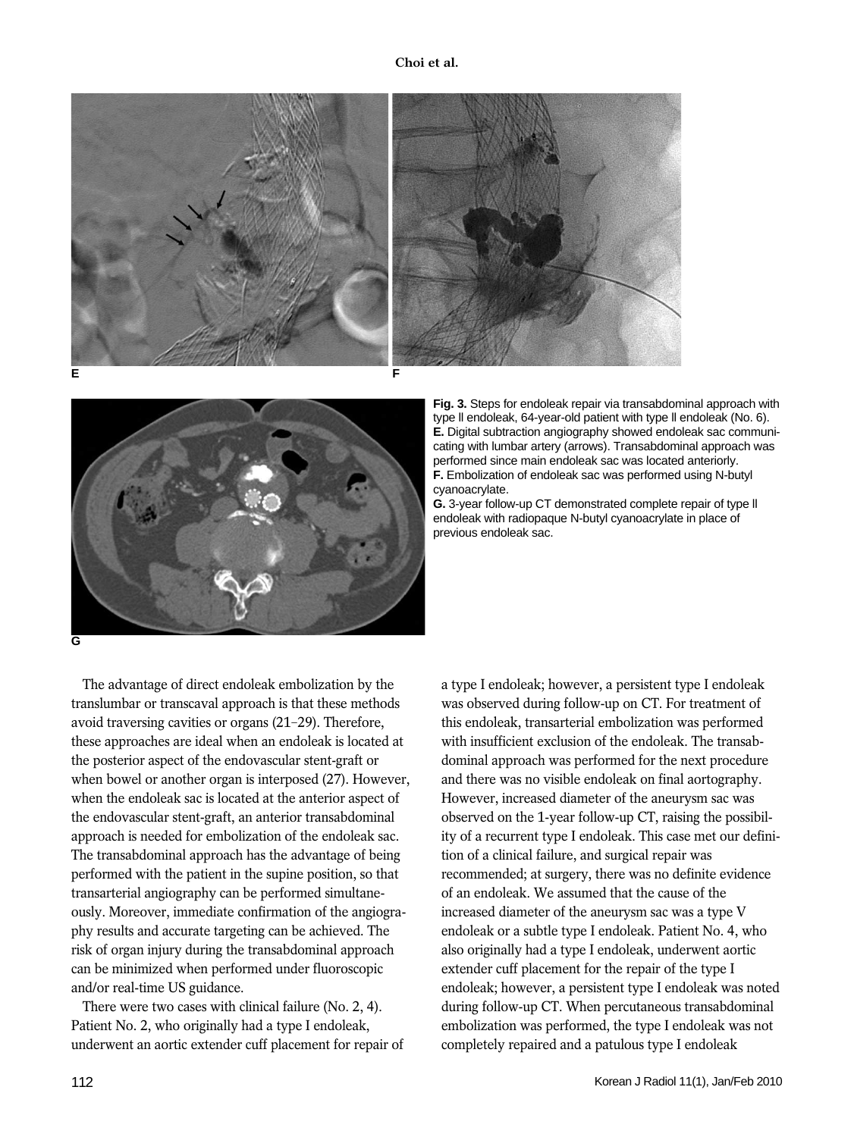



**Fig. 3.** Steps for endoleak repair via transabdominal approach with type ll endoleak, 64-year-old patient with type ll endoleak (No. 6). **E.** Digital subtraction angiography showed endoleak sac communicating with lumbar artery (arrows). Transabdominal approach was performed since main endoleak sac was located anteriorly. **F.** Embolization of endoleak sac was performed using N-butyl cyanoacrylate.

**G.** 3-year follow-up CT demonstrated complete repair of type ll endoleak with radiopaque N-butyl cyanoacrylate in place of previous endoleak sac.

The advantage of direct endoleak embolization by the translumbar or transcaval approach is that these methods avoid traversing cavities or organs (21-29). Therefore, these approaches are ideal when an endoleak is located at the posterior aspect of the endovascular stent-graft or when bowel or another organ is interposed (27). However, when the endoleak sac is located at the anterior aspect of the endovascular stent-graft, an anterior transabdominal approach is needed for embolization of the endoleak sac. The transabdominal approach has the advantage of being performed with the patient in the supine position, so that transarterial angiography can be performed simultaneously. Moreover, immediate confirmation of the angiography results and accurate targeting can be achieved. The risk of organ injury during the transabdominal approach can be minimized when performed under fluoroscopic and/or real-time US guidance.

There were two cases with clinical failure (No. 2, 4). Patient No. 2, who originally had a type I endoleak, underwent an aortic extender cuff placement for repair of a type I endoleak; however, a persistent type I endoleak was observed during follow-up on CT. For treatment of this endoleak, transarterial embolization was performed with insufficient exclusion of the endoleak. The transabdominal approach was performed for the next procedure and there was no visible endoleak on final aortography. However, increased diameter of the aneurysm sac was observed on the 1-year follow-up CT, raising the possibility of a recurrent type I endoleak. This case met our definition of a clinical failure, and surgical repair was recommended; at surgery, there was no definite evidence of an endoleak. We assumed that the cause of the increased diameter of the aneurysm sac was a type V endoleak or a subtle type I endoleak. Patient No. 4, who also originally had a type I endoleak, underwent aortic extender cuff placement for the repair of the type I endoleak; however, a persistent type I endoleak was noted during follow-up CT. When percutaneous transabdominal embolization was performed, the type I endoleak was not completely repaired and a patulous type I endoleak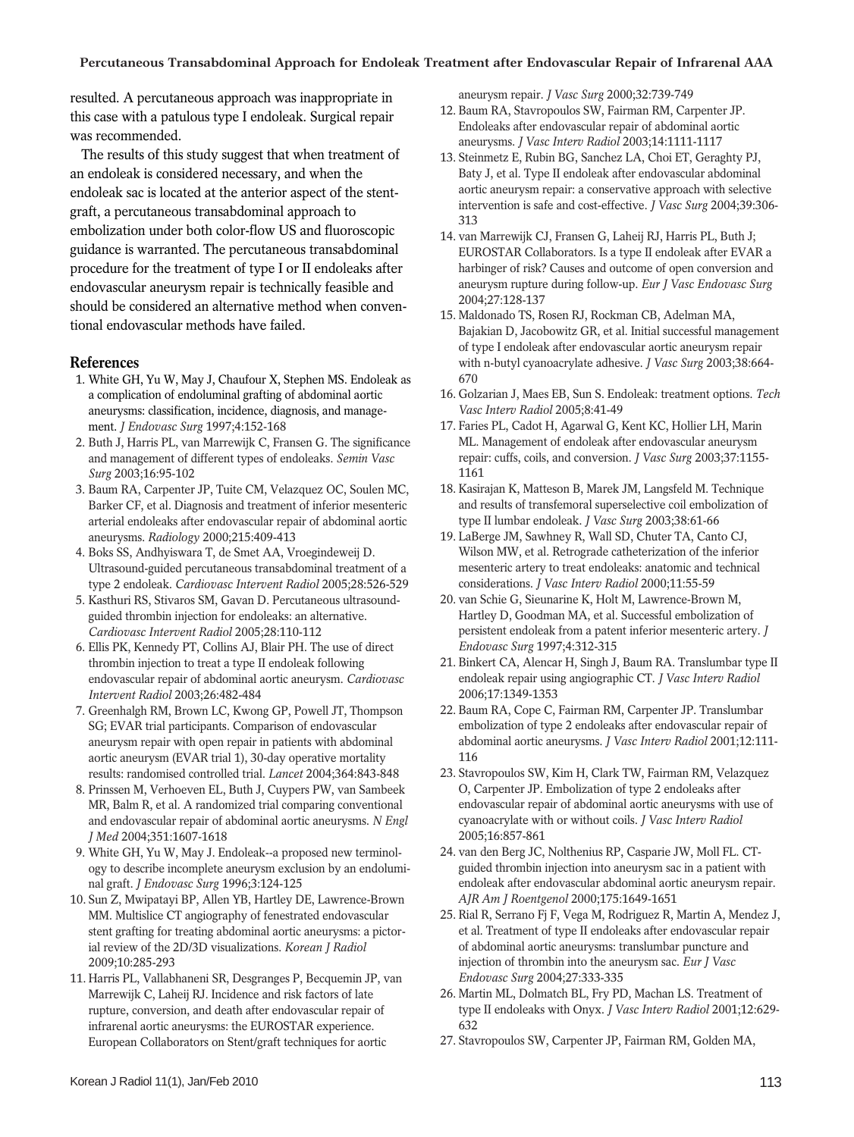resulted. A percutaneous approach was inappropriate in this case with a patulous type I endoleak. Surgical repair was recommended.

The results of this study suggest that when treatment of an endoleak is considered necessary, and when the endoleak sac is located at the anterior aspect of the stentgraft, a percutaneous transabdominal approach to embolization under both color-flow US and fluoroscopic guidance is warranted. The percutaneous transabdominal procedure for the treatment of type I or II endoleaks after endovascular aneurysm repair is technically feasible and should be considered an alternative method when conventional endovascular methods have failed.

## **References**

- 1. White GH, Yu W, May J, Chaufour X, Stephen MS. Endoleak as a complication of endoluminal grafting of abdominal aortic aneurysms: classification, incidence, diagnosis, and management. *J Endovasc Surg* 1997;4:152-168
- 2. Buth J, Harris PL, van Marrewijk C, Fransen G. The significance and management of different types of endoleaks. *Semin Vasc Surg* 2003;16:95-102
- 3. Baum RA, Carpenter JP, Tuite CM, Velazquez OC, Soulen MC, Barker CF, et al. Diagnosis and treatment of inferior mesenteric arterial endoleaks after endovascular repair of abdominal aortic aneurysms. *Radiology* 2000;215:409-413
- 4. Boks SS, Andhyiswara T, de Smet AA, Vroegindeweij D. Ultrasound-guided percutaneous transabdominal treatment of a type 2 endoleak. *Cardiovasc Intervent Radiol* 2005;28:526-529
- 5. Kasthuri RS, Stivaros SM, Gavan D. Percutaneous ultrasoundguided thrombin injection for endoleaks: an alternative. *Cardiovasc Intervent Radiol* 2005;28:110-112
- 6. Ellis PK, Kennedy PT, Collins AJ, Blair PH. The use of direct thrombin injection to treat a type II endoleak following endovascular repair of abdominal aortic aneurysm. *Cardiovasc Intervent Radiol* 2003;26:482-484
- 7. Greenhalgh RM, Brown LC, Kwong GP, Powell JT, Thompson SG; EVAR trial participants. Comparison of endovascular aneurysm repair with open repair in patients with abdominal aortic aneurysm (EVAR trial 1), 30-day operative mortality results: randomised controlled trial. *Lancet* 2004;364:843-848
- 8. Prinssen M, Verhoeven EL, Buth J, Cuypers PW, van Sambeek MR, Balm R, et al. A randomized trial comparing conventional and endovascular repair of abdominal aortic aneurysms. *N Engl J Med* 2004;351:1607-1618
- 9. White GH, Yu W, May J. Endoleak--a proposed new terminology to describe incomplete aneurysm exclusion by an endoluminal graft. *J Endovasc Surg* 1996;3:124-125
- 10. Sun Z, Mwipatayi BP, Allen YB, Hartley DE, Lawrence-Brown MM. Multislice CT angiography of fenestrated endovascular stent grafting for treating abdominal aortic aneurysms: a pictorial review of the 2D/3D visualizations. *Korean J Radiol* 2009;10:285-293
- 11. Harris PL, Vallabhaneni SR, Desgranges P, Becquemin JP, van Marrewijk C, Laheij RJ. Incidence and risk factors of late rupture, conversion, and death after endovascular repair of infrarenal aortic aneurysms: the EUROSTAR experience. European Collaborators on Stent/graft techniques for aortic

aneurysm repair. *J Vasc Surg* 2000;32:739-749

- 12. Baum RA, Stavropoulos SW, Fairman RM, Carpenter JP. Endoleaks after endovascular repair of abdominal aortic aneurysms. *J Vasc Interv Radiol* 2003;14:1111-1117
- 13. Steinmetz E, Rubin BG, Sanchez LA, Choi ET, Geraghty PJ, Baty J, et al. Type II endoleak after endovascular abdominal aortic aneurysm repair: a conservative approach with selective intervention is safe and cost-effective. *J Vasc Surg* 2004;39:306- 313
- 14. van Marrewijk CJ, Fransen G, Laheij RJ, Harris PL, Buth J; EUROSTAR Collaborators. Is a type II endoleak after EVAR a harbinger of risk? Causes and outcome of open conversion and aneurysm rupture during follow-up. *Eur J Vasc Endovasc Surg* 2004;27:128-137
- 15. Maldonado TS, Rosen RJ, Rockman CB, Adelman MA, Bajakian D, Jacobowitz GR, et al. Initial successful management of type I endoleak after endovascular aortic aneurysm repair with n-butyl cyanoacrylate adhesive. *J Vasc Surg* 2003;38:664- 670
- 16. Golzarian J, Maes EB, Sun S. Endoleak: treatment options. *Tech Vasc Interv Radiol* 2005;8:41-49
- 17. Faries PL, Cadot H, Agarwal G, Kent KC, Hollier LH, Marin ML. Management of endoleak after endovascular aneurysm repair: cuffs, coils, and conversion. *J Vasc Surg* 2003;37:1155- 1161
- 18. Kasirajan K, Matteson B, Marek JM, Langsfeld M. Technique and results of transfemoral superselective coil embolization of type II lumbar endoleak. *J Vasc Surg* 2003;38:61-66
- 19. LaBerge JM, Sawhney R, Wall SD, Chuter TA, Canto CJ, Wilson MW, et al. Retrograde catheterization of the inferior mesenteric artery to treat endoleaks: anatomic and technical considerations. *J Vasc Interv Radiol* 2000;11:55-59
- 20. van Schie G, Sieunarine K, Holt M, Lawrence-Brown M, Hartley D, Goodman MA, et al. Successful embolization of persistent endoleak from a patent inferior mesenteric artery. *J Endovasc Surg* 1997;4:312-315
- 21. Binkert CA, Alencar H, Singh J, Baum RA. Translumbar type II endoleak repair using angiographic CT. *J Vasc Interv Radiol* 2006;17:1349-1353
- 22. Baum RA, Cope C, Fairman RM, Carpenter JP. Translumbar embolization of type 2 endoleaks after endovascular repair of abdominal aortic aneurysms. *J Vasc Interv Radiol* 2001;12:111- 116
- 23. Stavropoulos SW, Kim H, Clark TW, Fairman RM, Velazquez O, Carpenter JP. Embolization of type 2 endoleaks after endovascular repair of abdominal aortic aneurysms with use of cyanoacrylate with or without coils. *J Vasc Interv Radiol* 2005;16:857-861
- 24. van den Berg JC, Nolthenius RP, Casparie JW, Moll FL. CTguided thrombin injection into aneurysm sac in a patient with endoleak after endovascular abdominal aortic aneurysm repair. *AJR Am J Roentgenol* 2000;175:1649-1651
- 25. Rial R, Serrano Fj F, Vega M, Rodriguez R, Martin A, Mendez J, et al. Treatment of type II endoleaks after endovascular repair of abdominal aortic aneurysms: translumbar puncture and injection of thrombin into the aneurysm sac. *Eur J Vasc Endovasc Surg* 2004;27:333-335
- 26. Martin ML, Dolmatch BL, Fry PD, Machan LS. Treatment of type II endoleaks with Onyx. *J Vasc Interv Radiol* 2001;12:629- 632
- 27. Stavropoulos SW, Carpenter JP, Fairman RM, Golden MA,